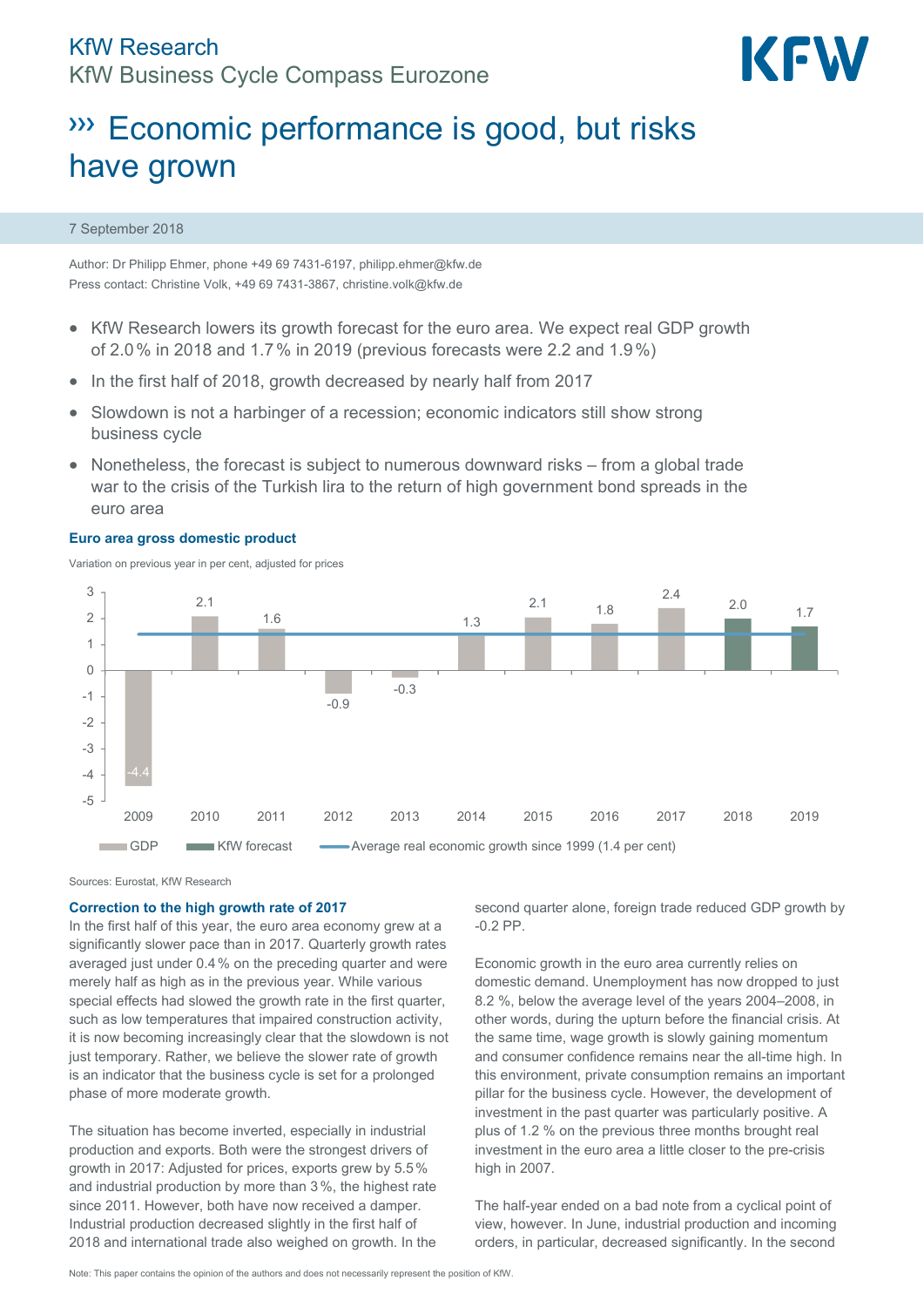

# **WE Economic performance is good, but risks** have grown

### 7 September 2018

Author: Dr Philipp Ehmer, phone +49 69 7431-6197, philipp.ehmer@kfw.de Press contact: Christine Volk, +49 69 7431-3867, christine.volk@kfw.de

- KfW Research lowers its growth forecast for the euro area. We expect real GDP growth of 2.0% in 2018 and 1.7% in 2019 (previous forecasts were 2.2 and 1.9%)
- In the first half of 2018, growth decreased by nearly half from 2017
- Slowdown is not a harbinger of a recession; economic indicators still show strong business cycle
- Nonetheless, the forecast is subject to numerous downward risks from a global trade war to the crisis of the Turkish lira to the return of high government bond spreads in the euro area

### **Euro area gross domestic product**

Variation on previous year in per cent, adjusted for prices



Sources: Eurostat, KfW Research

### **Correction to the high growth rate of 2017**

In the first half of this year, the euro area economy grew at a significantly slower pace than in 2017. Quarterly growth rates averaged just under 0.4% on the preceding quarter and were merely half as high as in the previous year. While various special effects had slowed the growth rate in the first quarter, such as low temperatures that impaired construction activity, it is now becoming increasingly clear that the slowdown is not just temporary. Rather, we believe the slower rate of growth is an indicator that the business cycle is set for a prolonged phase of more moderate growth.

The situation has become inverted, especially in industrial production and exports. Both were the strongest drivers of growth in 2017: Adjusted for prices, exports grew by 5.5% and industrial production by more than 3%, the highest rate since 2011. However, both have now received a damper. Industrial production decreased slightly in the first half of 2018 and international trade also weighed on growth. In the second quarter alone, foreign trade reduced GDP growth by -0.2 PP.

Economic growth in the euro area currently relies on domestic demand. Unemployment has now dropped to just 8.2 %, below the average level of the years 2004–2008, in other words, during the upturn before the financial crisis. At the same time, wage growth is slowly gaining momentum and consumer confidence remains near the all-time high. In this environment, private consumption remains an important pillar for the business cycle. However, the development of investment in the past quarter was particularly positive. A plus of 1.2 % on the previous three months brought real investment in the euro area a little closer to the pre-crisis high in 2007.

The half-year ended on a bad note from a cyclical point of view, however. In June, industrial production and incoming orders, in particular, decreased significantly. In the second